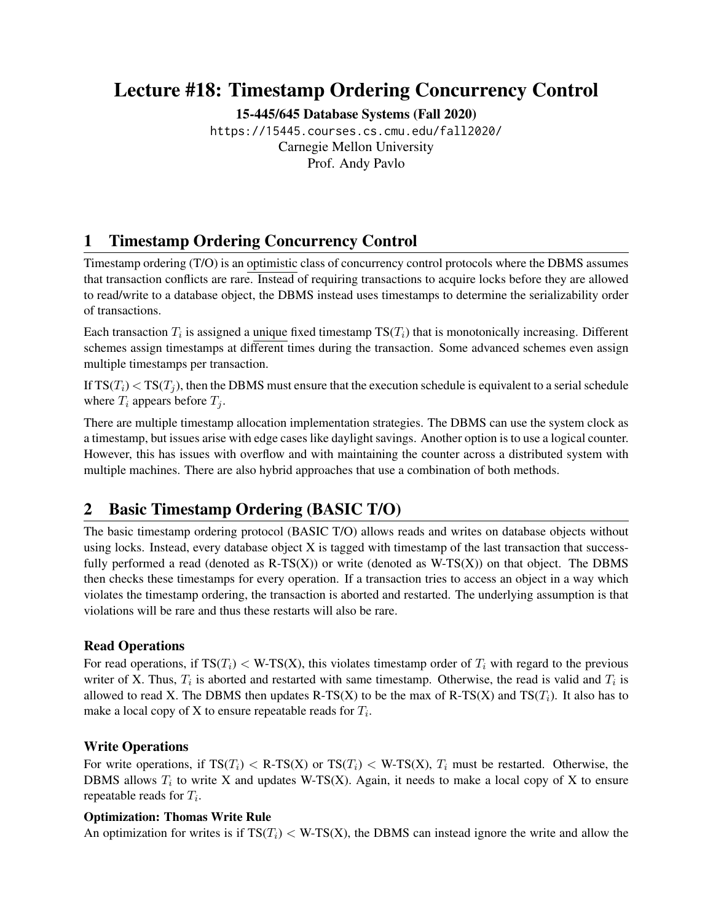# Lecture #18: Timestamp Ordering Concurrency Control

[15-445/645 Database Systems \(Fall 2020\)](https://15445.courses.cs.cmu.edu/fall2020/)

<https://15445.courses.cs.cmu.edu/fall2020/> Carnegie Mellon University [Prof. Andy Pavlo](http://www.cs.cmu.edu/~pavlo/)

# 1 Timestamp Ordering Concurrency Control

Timestamp ordering (T/O) is an optimistic class of concurrency control protocols where the DBMS assumes that transaction conflicts are rare. Instead of requiring transactions to acquire locks before they are allowed to read/write to a database object, the DBMS instead uses timestamps to determine the serializability order of transactions.

Each transaction  $T_i$  is assigned a unique fixed timestamp  $TS(T_i)$  that is monotonically increasing. Different schemes assign timestamps at different times during the transaction. Some advanced schemes even assign multiple timestamps per transaction.

If  $TS(T_i) < TS(T_j)$ , then the DBMS must ensure that the execution schedule is equivalent to a serial schedule where  $T_i$  appears before  $T_j$ .

There are multiple timestamp allocation implementation strategies. The DBMS can use the system clock as a timestamp, but issues arise with edge cases like daylight savings. Another option is to use a logical counter. However, this has issues with overflow and with maintaining the counter across a distributed system with multiple machines. There are also hybrid approaches that use a combination of both methods.

## 2 Basic Timestamp Ordering (BASIC T/O)

The basic timestamp ordering protocol (BASIC T/O) allows reads and writes on database objects without using locks. Instead, every database object X is tagged with timestamp of the last transaction that successfully performed a read (denoted as  $R-TS(X)$ ) or write (denoted as  $W-TS(X)$ ) on that object. The DBMS then checks these timestamps for every operation. If a transaction tries to access an object in a way which violates the timestamp ordering, the transaction is aborted and restarted. The underlying assumption is that violations will be rare and thus these restarts will also be rare.

## Read Operations

For read operations, if  $TS(T_i) < W-TS(X)$ , this violates timestamp order of  $T_i$  with regard to the previous writer of X. Thus,  $T_i$  is aborted and restarted with same timestamp. Otherwise, the read is valid and  $T_i$  is allowed to read X. The DBMS then updates R-TS(X) to be the max of R-TS(X) and TS( $T_i$ ). It also has to make a local copy of X to ensure repeatable reads for  $T_i$ .

## Write Operations

For write operations, if  $TS(T_i) < R-TS(X)$  or  $TS(T_i) < W-TS(X)$ ,  $T_i$  must be restarted. Otherwise, the DBMS allows  $T_i$  to write X and updates W-TS(X). Again, it needs to make a local copy of X to ensure repeatable reads for  $T_i$ .

### Optimization: Thomas Write Rule

An optimization for writes is if  $TS(T_i) < W-TS(X)$ , the DBMS can instead ignore the write and allow the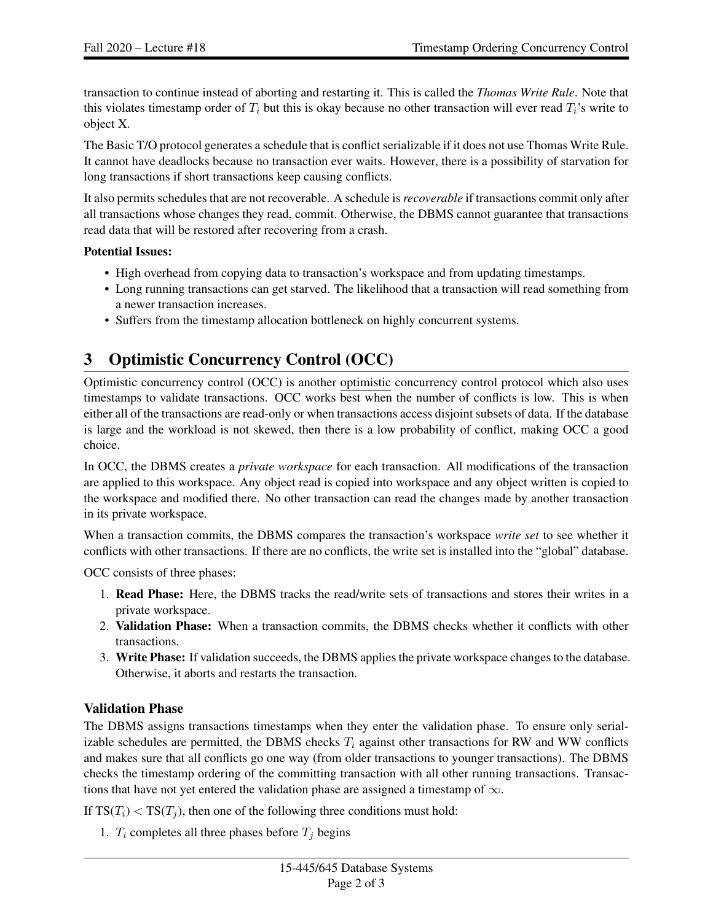transaction to continue instead of aborting and restarting it. This is called the *Thomas Write Rule*. Note that this violates timestamp order of  $T_i$  but this is okay because no other transaction will ever read  $T_i$ 's write to object X.

The Basic T/O protocol generates a schedule that is conflict serializable if it does not use Thomas Write Rule. It cannot have deadlocks because no transaction ever waits. However, there is a possibility of starvation for long transactions if short transactions keep causing conflicts.

It also permits schedules that are not recoverable. A schedule is *recoverable* if transactions commit only after all transactions whose changes they read, commit. Otherwise, the DBMS cannot guarantee that transactions read data that will be restored after recovering from a crash.

### Potential Issues:

- High overhead from copying data to transaction's workspace and from updating timestamps.
- Long running transactions can get starved. The likelihood that a transaction will read something from a newer transaction increases.
- Suffers from the timestamp allocation bottleneck on highly concurrent systems.

# 3 Optimistic Concurrency Control (OCC)

Optimistic concurrency control (OCC) is another optimistic concurrency control protocol which also uses timestamps to validate transactions. OCC works best when the number of conflicts is low. This is when either all of the transactions are read-only or when transactions access disjoint subsets of data. If the database is large and the workload is not skewed, then there is a low probability of conflict, making OCC a good choice.

In OCC, the DBMS creates a *private workspace* for each transaction. All modifications of the transaction are applied to this workspace. Any object read is copied into workspace and any object written is copied to the workspace and modified there. No other transaction can read the changes made by another transaction in its private workspace.

When a transaction commits, the DBMS compares the transaction's workspace *write set* to see whether it conflicts with other transactions. If there are no conflicts, the write set is installed into the "global" database.

OCC consists of three phases:

- 1. Read Phase: Here, the DBMS tracks the read/write sets of transactions and stores their writes in a private workspace.
- 2. Validation Phase: When a transaction commits, the DBMS checks whether it conflicts with other transactions.
- 3. Write Phase: If validation succeeds, the DBMS applies the private workspace changes to the database. Otherwise, it aborts and restarts the transaction.

## Validation Phase

The DBMS assigns transactions timestamps when they enter the validation phase. To ensure only serializable schedules are permitted, the DBMS checks  $T_i$  against other transactions for RW and WW conflicts and makes sure that all conflicts go one way (from older transactions to younger transactions). The DBMS checks the timestamp ordering of the committing transaction with all other running transactions. Transactions that have not yet entered the validation phase are assigned a timestamp of  $\infty$ .

If  $TS(T_i) < TS(T_i)$ , then one of the following three conditions must hold:

1.  $T_i$  completes all three phases before  $T_j$  begins